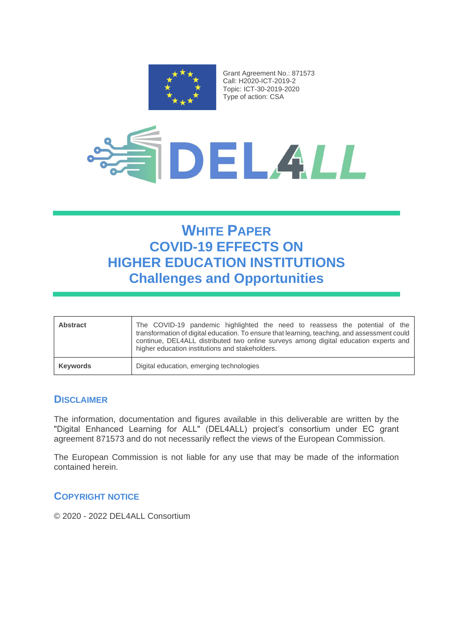

Grant Agreement No.: 871573 Call: H2020-ICT-2019-2 Topic: ICT-30-2019-2020 Type of action: CSA



# **WHITE PAPER COVID-19 EFFECTS ON HIGHER EDUCATION INSTITUTIONS Challenges and Opportunities**

| <b>Abstract</b> | The COVID-19 pandemic highlighted the need to reassess the potential of the<br>transformation of digital education. To ensure that learning, teaching, and assessment could<br>continue, DEL4ALL distributed two online surveys among digital education experts and<br>higher education institutions and stakeholders. |
|-----------------|------------------------------------------------------------------------------------------------------------------------------------------------------------------------------------------------------------------------------------------------------------------------------------------------------------------------|
| <b>Keywords</b> | Digital education, emerging technologies                                                                                                                                                                                                                                                                               |

### **DISCLAIMER**

The information, documentation and figures available in this deliverable are written by the "Digital Enhanced Learning for ALL" (DEL4ALL) project's consortium under EC grant agreement 871573 and do not necessarily reflect the views of the European Commission.

The European Commission is not liable for any use that may be made of the information contained herein.

# **COPYRIGHT NOTICE**

© 2020 - 2022 DEL4ALL Consortium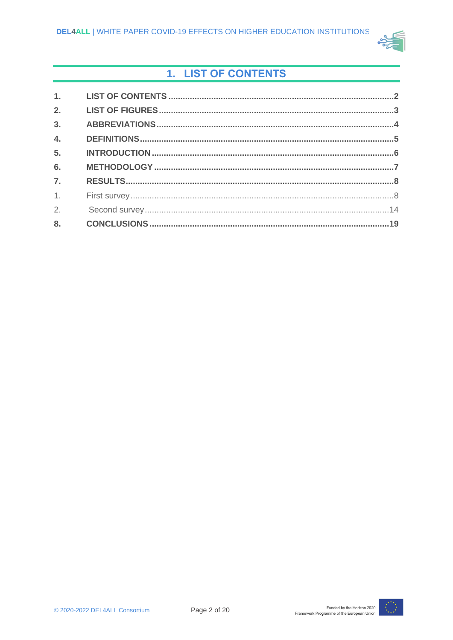

# 1. LIST OF CONTENTS

<span id="page-1-0"></span>

| 1.               |  |
|------------------|--|
| 2.               |  |
| 3 <sub>1</sub>   |  |
| $\overline{4}$ . |  |
| 5.               |  |
| 6.               |  |
| $\overline{7}$ . |  |
| 1.               |  |
| 2.               |  |
| 8.               |  |

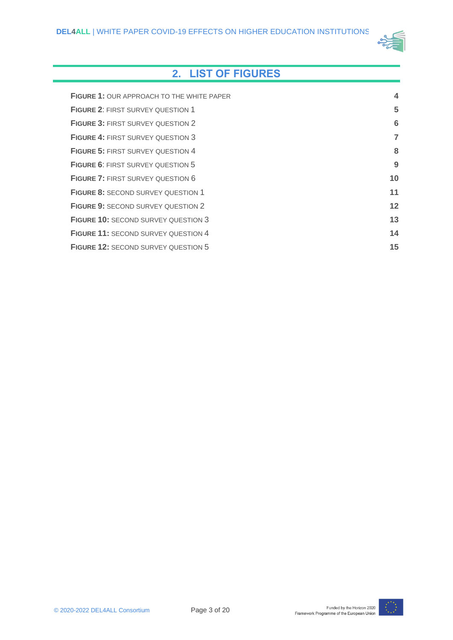

# **2. LIST OF FIGURES**

<span id="page-2-0"></span>

| <b>FIGURE 1: OUR APPROACH TO THE WHITE PAPER</b> | 4              |
|--------------------------------------------------|----------------|
| <b>FIGURE 2: FIRST SURVEY QUESTION 1</b>         | 5              |
| <b>FIGURE 3: FIRST SURVEY QUESTION 2</b>         | 6              |
| <b>FIGURE 4: FIRST SURVEY QUESTION 3</b>         | $\overline{7}$ |
| FIGURE 5: FIRST SURVEY QUESTION 4                | 8              |
| <b>FIGURE 6: FIRST SURVEY QUESTION 5</b>         | 9              |
| <b>FIGURE 7: FIRST SURVEY QUESTION 6</b>         | 10             |
| <b>FIGURE 8: SECOND SURVEY QUESTION 1</b>        | 11             |
| <b>FIGURE 9: SECOND SURVEY QUESTION 2</b>        | $12 \,$        |
| <b>FIGURE 10: SECOND SURVEY QUESTION 3</b>       | 13             |
| <b>FIGURE 11: SECOND SURVEY QUESTION 4</b>       | 14             |
| <b>FIGURE 12: SECOND SURVEY QUESTION 5</b>       | 15             |

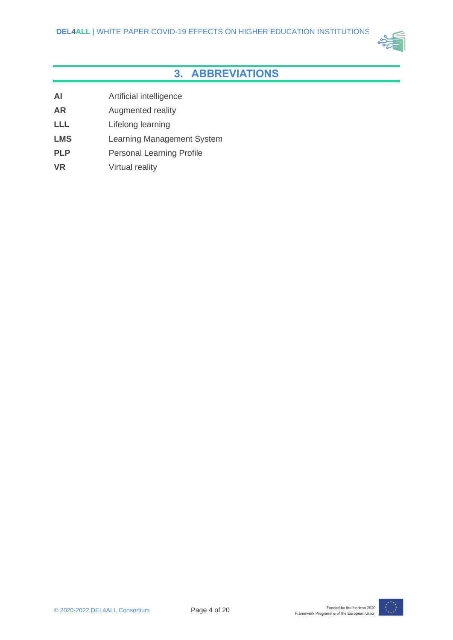

# **3. ABBREVIATIONS**

- <span id="page-3-0"></span>**AI** Artificial intelligence
- **AR** Augmented reality
- **LLL** Lifelong learning
- **LMS** Learning Management System
- **PLP** Personal Learning Profile
- **VR** Virtual reality

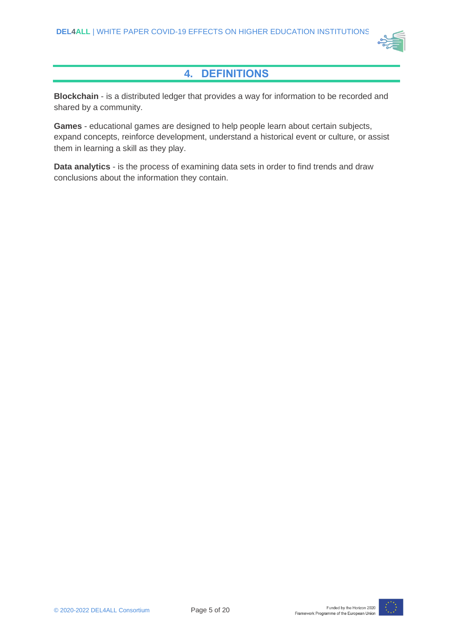

# **4. DEFINITIONS**

<span id="page-4-0"></span>**Blockchain** - is a distributed ledger that provides a way for information to be recorded and shared by a community.

**Games** - educational games are designed to help people learn about certain subjects, expand concepts, reinforce development, understand a historical event or culture, or assist them in learning a skill as they play.

**Data analytics** - is the process of examining data sets in order to find trends and draw conclusions about the information they contain.

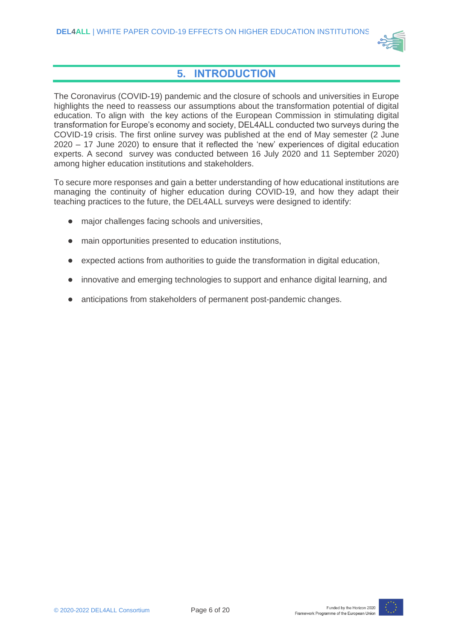

# **5. INTRODUCTION**

<span id="page-5-0"></span>The Coronavirus (COVID-19) pandemic and the closure of schools and universities in Europe highlights the need to reassess our assumptions about the transformation potential of digital education. To align with the key actions of the European Commission in stimulating digital transformation for Europe's economy and society, DEL4ALL conducted two surveys during the COVID-19 crisis. The first online survey was published at the end of May semester (2 June 2020 – 17 June 2020) to ensure that it reflected the 'new' experiences of digital education experts. A second survey was conducted between 16 July 2020 and 11 September 2020) among higher education institutions and stakeholders.

To secure more responses and gain a better understanding of how educational institutions are managing the continuity of higher education during COVID-19, and how they adapt their teaching practices to the future, the DEL4ALL surveys were designed to identify:

- major challenges facing schools and universities,
- main opportunities presented to education institutions,
- expected actions from authorities to guide the transformation in digital education,
- innovative and emerging technologies to support and enhance digital learning, and
- anticipations from stakeholders of permanent post-pandemic changes.

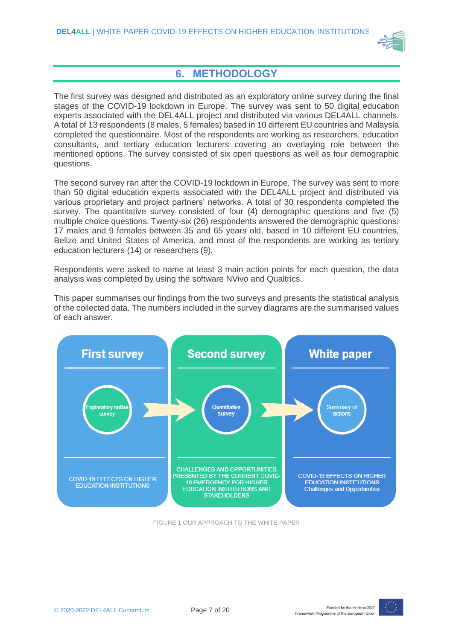

# **6. METHODOLOGY**

<span id="page-6-0"></span>The first survey was designed and distributed as an exploratory online survey during the final stages of the COVID-19 lockdown in Europe. The survey was sent to 50 digital education experts associated with the DEL4ALL project and distributed via various DEL4ALL channels. A total of 13 respondents (8 males, 5 females) based in 10 different EU countries and Malaysia completed the questionnaire. Most of the respondents are working as researchers, education consultants, and tertiary education lecturers covering an overlaying role between the mentioned options. The survey consisted of six open questions as well as four demographic questions.

The second survey ran after the COVID-19 lockdown in Europe. The survey was sent to more than 50 digital education experts associated with the DEL4ALL project and distributed via various proprietary and project partners' networks. A total of 30 respondents completed the survey. The quantitative survey consisted of four (4) demographic questions and five (5) multiple choice questions. Twenty-six (26) respondents answered the demographic questions: 17 males and 9 females between 35 and 65 years old, based in 10 different EU countries, Belize and United States of America, and most of the respondents are working as tertiary education lecturers (14) or researchers (9).

Respondents were asked to name at least 3 main action points for each question, the data analysis was completed by using the software NVivo and Qualtrics.

This paper summarises our findings from the two surveys and presents the statistical analysis of the collected data. The numbers included in the survey diagrams are the summarised values of each answer.



FIGURE 1 OUR APPROACH TO THE WHITE PAPER

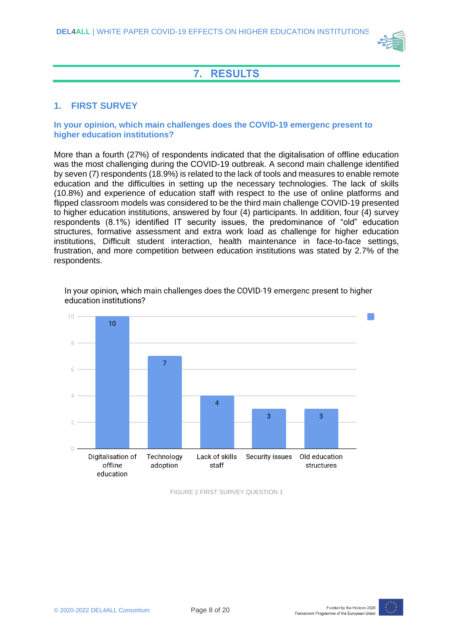

# **7. RESULTS**

### <span id="page-7-1"></span><span id="page-7-0"></span>**1. FIRST SURVEY**

#### **In your opinion, which main challenges does the COVID-19 emergenc present to higher education institutions?**

More than a fourth (27%) of respondents indicated that the digitalisation of offline education was the most challenging during the COVID-19 outbreak. A second main challenge identified by seven (7) respondents (18.9%) is related to the lack of tools and measures to enable remote education and the difficulties in setting up the necessary technologies. The lack of skills (10.8%) and experience of education staff with respect to the use of online platforms and flipped classroom models was considered to be the third main challenge COVID-19 presented to higher education institutions, answered by four (4) participants. In addition, four (4) survey respondents (8.1%) identified IT security issues, the predominance of "old" education structures, formative assessment and extra work load as challenge for higher education institutions, Difficult student interaction, health maintenance in face-to-face settings, frustration, and more competition between education institutions was stated by 2.7% of the respondents.



In your opinion, which main challenges does the COVID-19 emergenc present to higher education institutions?

FIGURE 2 FIRST SURVEY QUESTION 1

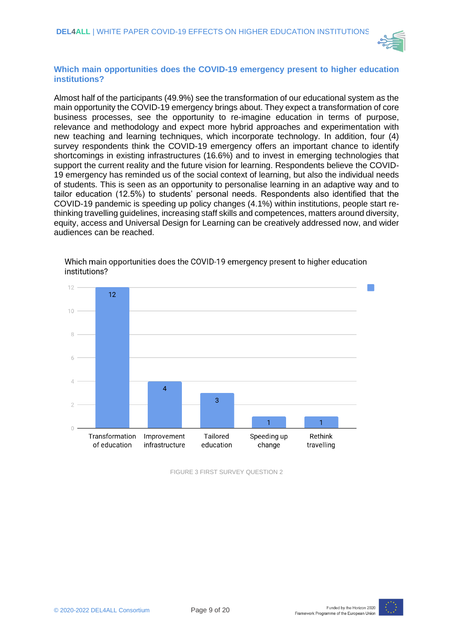

#### **Which main opportunities does the COVID-19 emergency present to higher education institutions?**

Almost half of the participants (49.9%) see the transformation of our educational system as the main opportunity the COVID-19 emergency brings about. They expect a transformation of core business processes, see the opportunity to re-imagine education in terms of purpose, relevance and methodology and expect more hybrid approaches and experimentation with new teaching and learning techniques, which incorporate technology. In addition, four (4) survey respondents think the COVID-19 emergency offers an important chance to identify shortcomings in existing infrastructures (16.6%) and to invest in emerging technologies that support the current reality and the future vision for learning. Respondents believe the COVID-19 emergency has reminded us of the social context of learning, but also the individual needs of students. This is seen as an opportunity to personalise learning in an adaptive way and to tailor education (12.5%) to students' personal needs. Respondents also identified that the COVID-19 pandemic is speeding up policy changes (4.1%) within institutions, people start rethinking travelling guidelines, increasing staff skills and competences, matters around diversity, equity, access and Universal Design for Learning can be creatively addressed now, and wider audiences can be reached.





FIGURE 3 FIRST SURVEY QUESTION 2

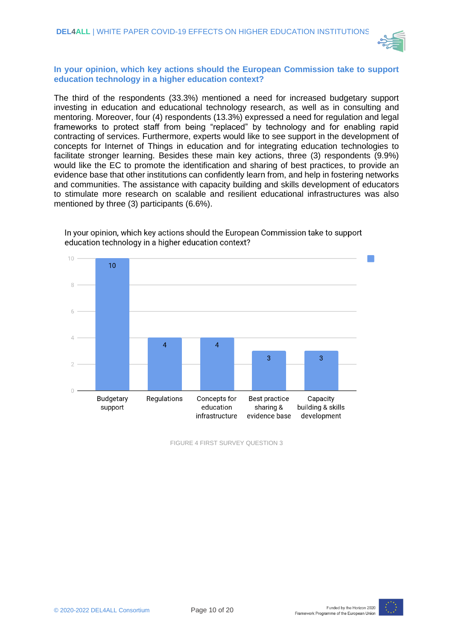

#### **In your opinion, which key actions should the European Commission take to support education technology in a higher education context?**

The third of the respondents (33.3%) mentioned a need for increased budgetary support investing in education and educational technology research, as well as in consulting and mentoring. Moreover, four (4) respondents (13.3%) expressed a need for regulation and legal frameworks to protect staff from being "replaced" by technology and for enabling rapid contracting of services. Furthermore, experts would like to see support in the development of concepts for Internet of Things in education and for integrating education technologies to facilitate stronger learning. Besides these main key actions, three (3) respondents (9.9%) would like the EC to promote the identification and sharing of best practices, to provide an evidence base that other institutions can confidently learn from, and help in fostering networks and communities. The assistance with capacity building and skills development of educators to stimulate more research on scalable and resilient educational infrastructures was also mentioned by three (3) participants (6.6%).



In your opinion, which key actions should the European Commission take to support education technology in a higher education context?

FIGURE 4 FIRST SURVEY QUESTION 3

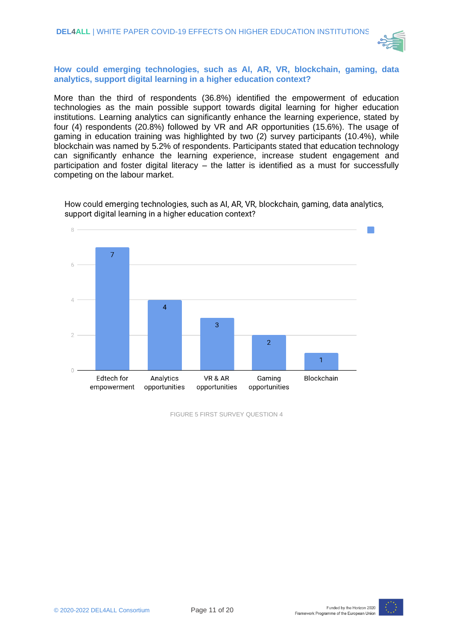

**How could emerging technologies, such as AI, AR, VR, blockchain, gaming, data analytics, support digital learning in a higher education context?**

More than the third of respondents (36.8%) identified the empowerment of education technologies as the main possible support towards digital learning for higher education institutions. Learning analytics can significantly enhance the learning experience, stated by four (4) respondents (20.8%) followed by VR and AR opportunities (15.6%). The usage of gaming in education training was highlighted by two (2) survey participants (10.4%), while blockchain was named by 5.2% of respondents. Participants stated that education technology can significantly enhance the learning experience, increase student engagement and participation and foster digital literacy – the latter is identified as a must for successfully competing on the labour market.



How could emerging technologies, such as AI, AR, VR, blockchain, gaming, data analytics, support digital learning in a higher education context?

FIGURE 5 FIRST SURVEY QUESTION 4

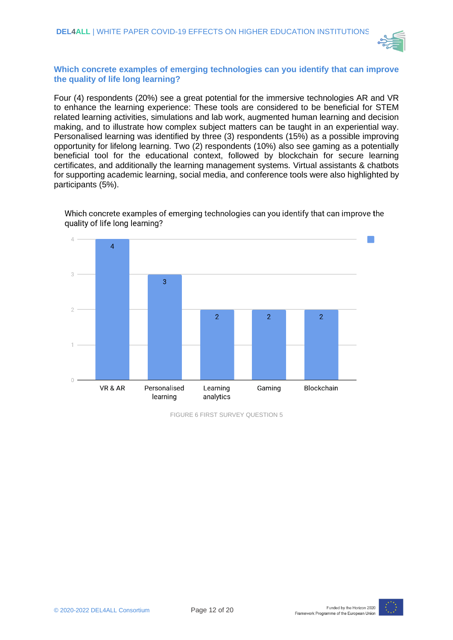

#### **Which concrete examples of emerging technologies can you identify that can improve the quality of life long learning?**

Four (4) respondents (20%) see a great potential for the immersive technologies AR and VR to enhance the learning experience: These tools are considered to be beneficial for STEM related learning activities, simulations and lab work, augmented human learning and decision making, and to illustrate how complex subject matters can be taught in an experiential way. Personalised learning was identified by three (3) respondents (15%) as a possible improving opportunity for lifelong learning. Two (2) respondents (10%) also see gaming as a potentially beneficial tool for the educational context, followed by blockchain for secure learning certificates, and additionally the learning management systems. Virtual assistants & chatbots for supporting academic learning, social media, and conference tools were also highlighted by participants (5%).

Which concrete examples of emerging technologies can you identify that can improve the quality of life long learning?



FIGURE 6 FIRST SURVEY QUESTION 5

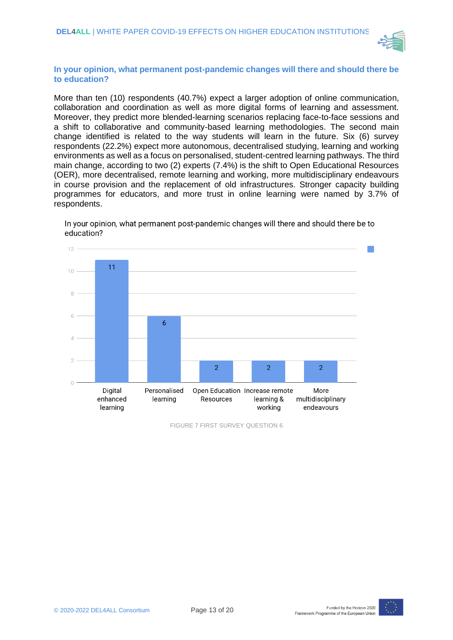

#### **In your opinion, what permanent post-pandemic changes will there and should there be to education?**

More than ten (10) respondents (40.7%) expect a larger adoption of online communication, collaboration and coordination as well as more digital forms of learning and assessment. Moreover, they predict more blended-learning scenarios replacing face-to-face sessions and a shift to collaborative and community-based learning methodologies. The second main change identified is related to the way students will learn in the future. Six (6) survey respondents (22.2%) expect more autonomous, decentralised studying, learning and working environments as well as a focus on personalised, student-centred learning pathways. The third main change, according to two (2) experts (7.4%) is the shift to Open Educational Resources (OER), more decentralised, remote learning and working, more multidisciplinary endeavours in course provision and the replacement of old infrastructures. Stronger capacity building programmes for educators, and more trust in online learning were named by 3.7% of respondents.



In your opinion, what permanent post-pandemic changes will there and should there be to education?

FIGURE 7 FIRST SURVEY QUESTION 6



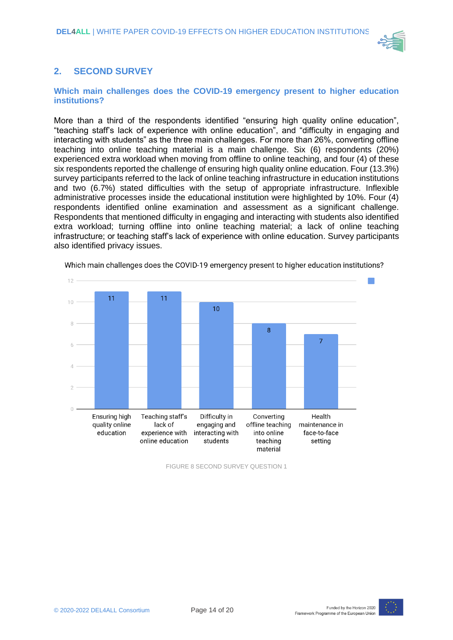

### <span id="page-13-0"></span>**2. SECOND SURVEY**

#### **Which main challenges does the COVID-19 emergency present to higher education institutions?**

More than a third of the respondents identified "ensuring high quality online education", "teaching staff's lack of experience with online education", and "difficulty in engaging and interacting with students" as the three main challenges. For more than 26%, converting offline teaching into online teaching material is a main challenge. Six (6) respondents (20%) experienced extra workload when moving from offline to online teaching, and four (4) of these six respondents reported the challenge of ensuring high quality online education. Four (13.3%) survey participants referred to the lack of online teaching infrastructure in education institutions and two (6.7%) stated difficulties with the setup of appropriate infrastructure. Inflexible administrative processes inside the educational institution were highlighted by 10%. Four (4) respondents identified online examination and assessment as a significant challenge. Respondents that mentioned difficulty in engaging and interacting with students also identified extra workload; turning offline into online teaching material; a lack of online teaching infrastructure; or teaching staff's lack of experience with online education. Survey participants also identified privacy issues.



Which main challenges does the COVID-19 emergency present to higher education institutions?

FIGURE 8 SECOND SURVEY QUESTION 1

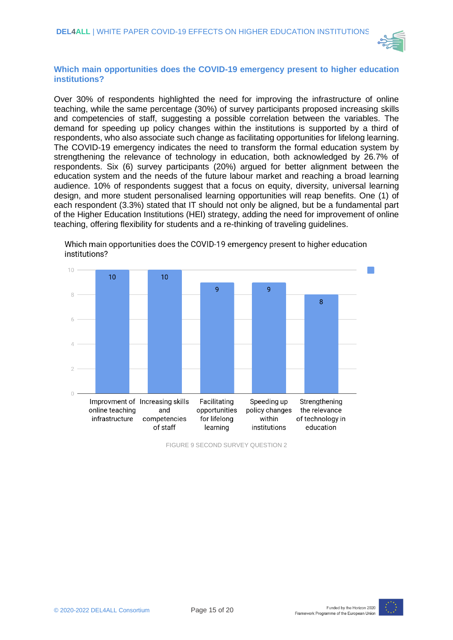

#### **Which main opportunities does the COVID-19 emergency present to higher education institutions?**

Over 30% of respondents highlighted the need for improving the infrastructure of online teaching, while the same percentage (30%) of survey participants proposed increasing skills and competencies of staff, suggesting a possible correlation between the variables. The demand for speeding up policy changes within the institutions is supported by a third of respondents, who also associate such change as facilitating opportunities for lifelong learning. The COVID-19 emergency indicates the need to transform the formal education system by strengthening the relevance of technology in education, both acknowledged by 26.7% of respondents. Six (6) survey participants (20%) argued for better alignment between the education system and the needs of the future labour market and reaching a broad learning audience. 10% of respondents suggest that a focus on equity, diversity, universal learning design, and more student personalised learning opportunities will reap benefits. One (1) of each respondent (3.3%) stated that IT should not only be aligned, but be a fundamental part of the Higher Education Institutions (HEI) strategy, adding the need for improvement of online teaching, offering flexibility for students and a re-thinking of traveling guidelines.



Which main opportunities does the COVID-19 emergency present to higher education institutions?

FIGURE 9 SECOND SURVEY QUESTION 2



Funded by the Horizon 2020

Framework Programme of the European Union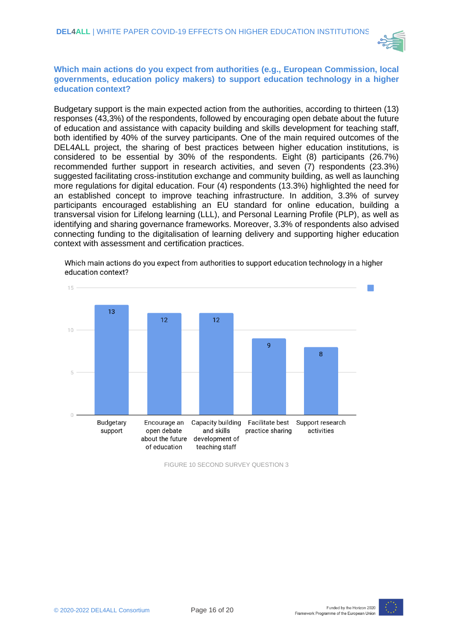

#### **Which main actions do you expect from authorities (e.g., European Commission, local governments, education policy makers) to support education technology in a higher education context?**

Budgetary support is the main expected action from the authorities, according to thirteen (13) responses (43,3%) of the respondents, followed by encouraging open debate about the future of education and assistance with capacity building and skills development for teaching staff, both identified by 40% of the survey participants. One of the main required outcomes of the DEL4ALL project, the sharing of best practices between higher education institutions, is considered to be essential by 30% of the respondents. Eight (8) participants (26.7%) recommended further support in research activities, and seven (7) respondents (23.3%) suggested facilitating cross-institution exchange and community building, as well as launching more regulations for digital education. Four (4) respondents (13.3%) highlighted the need for an established concept to improve teaching infrastructure. In addition, 3.3% of survey participants encouraged establishing an EU standard for online education, building a transversal vision for Lifelong learning (LLL), and Personal Learning Profile (PLP), as well as identifying and sharing governance frameworks. Moreover, 3.3% of respondents also advised connecting funding to the digitalisation of learning delivery and supporting higher education context with assessment and certification practices.

Which main actions do you expect from authorities to support education technology in a higher education context?





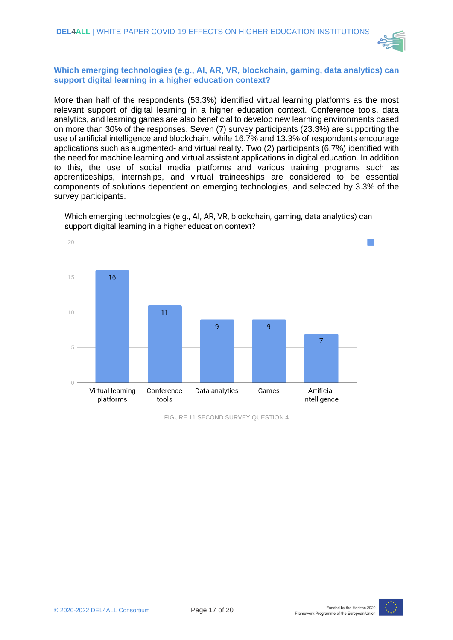

#### **Which emerging technologies (e.g., AI, AR, VR, blockchain, gaming, data analytics) can support digital learning in a higher education context?**

More than half of the respondents (53.3%) identified virtual learning platforms as the most relevant support of digital learning in a higher education context. Conference tools, data analytics, and learning games are also beneficial to develop new learning environments based on more than 30% of the responses. Seven (7) survey participants (23.3%) are supporting the use of artificial intelligence and blockchain, while 16.7% and 13.3% of respondents encourage applications such as augmented- and virtual reality. Two (2) participants (6.7%) identified with the need for machine learning and virtual assistant applications in digital education. In addition to this, the use of social media platforms and various training programs such as apprenticeships, internships, and virtual traineeships are considered to be essential components of solutions dependent on emerging technologies, and selected by 3.3% of the survey participants.

Which emerging technologies (e.g., AI, AR, VR, blockchain, gaming, data analytics) can support digital learning in a higher education context?



FIGURE 11 SECOND SURVEY QUESTION 4

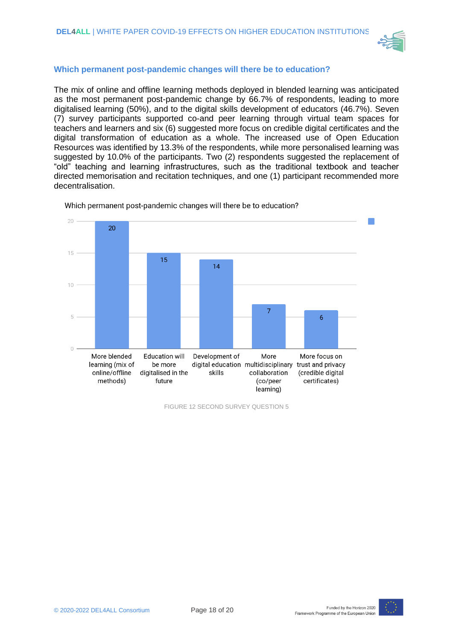

#### **Which permanent post-pandemic changes will there be to education?**

The mix of online and offline learning methods deployed in blended learning was anticipated as the most permanent post-pandemic change by 66.7% of respondents, leading to more digitalised learning (50%), and to the digital skills development of educators (46.7%). Seven (7) survey participants supported co-and peer learning through virtual team spaces for teachers and learners and six (6) suggested more focus on credible digital certificates and the digital transformation of education as a whole. The increased use of Open Education Resources was identified by 13.3% of the respondents, while more personalised learning was suggested by 10.0% of the participants. Two (2) respondents suggested the replacement of "old" teaching and learning infrastructures, such as the traditional textbook and teacher directed memorisation and recitation techniques, and one (1) participant recommended more decentralisation.



Which permanent post-pandemic changes will there be to education?

FIGURE 12 SECOND SURVEY QUESTION 5

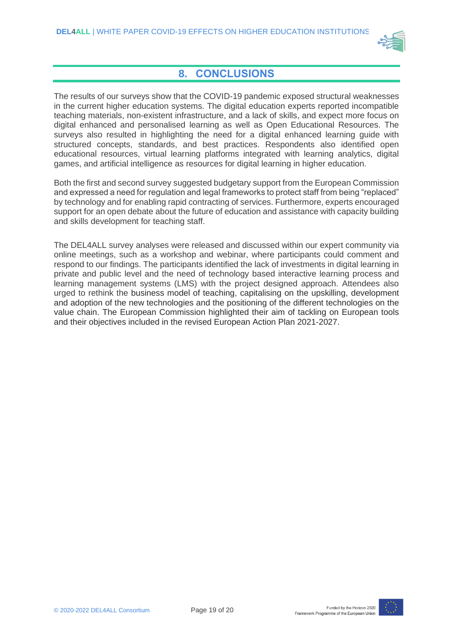

## **8. CONCLUSIONS**

<span id="page-18-0"></span>The results of our surveys show that the COVID-19 pandemic exposed structural weaknesses in the current higher education systems. The digital education experts reported incompatible teaching materials, non-existent infrastructure, and a lack of skills, and expect more focus on digital enhanced and personalised learning as well as Open Educational Resources. The surveys also resulted in highlighting the need for a digital enhanced learning guide with structured concepts, standards, and best practices. Respondents also identified open educational resources, virtual learning platforms integrated with learning analytics, digital games, and artificial intelligence as resources for digital learning in higher education.

Both the first and second survey suggested budgetary support from the European Commission and expressed a need for regulation and legal frameworks to protect staff from being "replaced" by technology and for enabling rapid contracting of services. Furthermore, experts encouraged support for an open debate about the future of education and assistance with capacity building and skills development for teaching staff.

The DEL4ALL survey analyses were released and discussed within our expert community via online meetings, such as a workshop and webinar, where participants could comment and respond to our findings. The participants identified the lack of investments in digital learning in private and public level and the need of technology based interactive learning process and learning management systems (LMS) with the project designed approach. Attendees also urged to rethink the business model of teaching, capitalising on the upskilling, development and adoption of the new technologies and the positioning of the different technologies on the value chain. The European Commission highlighted their aim of tackling on European tools and their objectives included in the revised European Action Plan 2021-2027.